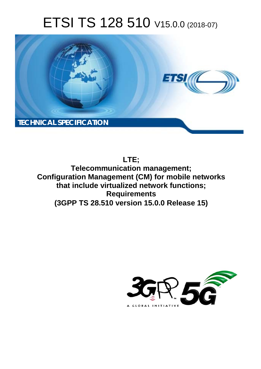# ETSI TS 128 510 V15.0.0 (2018-07)



**LTE;**

**Telecommunication management; Configuration Management (CM) for mobile networks that include virtualized network functions; Requirements (3GPP TS 28.510 version 15.0.0 Release 15)** 

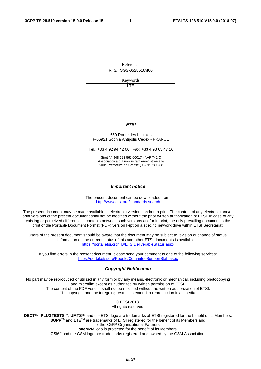Reference RTS/TSGS-0528510vf00

Keywords

LTE

#### *ETSI*

#### 650 Route des Lucioles F-06921 Sophia Antipolis Cedex - FRANCE

Tel.: +33 4 92 94 42 00 Fax: +33 4 93 65 47 16

Siret N° 348 623 562 00017 - NAF 742 C Association à but non lucratif enregistrée à la Sous-Préfecture de Grasse (06) N° 7803/88

#### *Important notice*

The present document can be downloaded from: <http://www.etsi.org/standards-search>

The present document may be made available in electronic versions and/or in print. The content of any electronic and/or print versions of the present document shall not be modified without the prior written authorization of ETSI. In case of any existing or perceived difference in contents between such versions and/or in print, the only prevailing document is the print of the Portable Document Format (PDF) version kept on a specific network drive within ETSI Secretariat.

Users of the present document should be aware that the document may be subject to revision or change of status. Information on the current status of this and other ETSI documents is available at <https://portal.etsi.org/TB/ETSIDeliverableStatus.aspx>

If you find errors in the present document, please send your comment to one of the following services: <https://portal.etsi.org/People/CommiteeSupportStaff.aspx>

#### *Copyright Notification*

No part may be reproduced or utilized in any form or by any means, electronic or mechanical, including photocopying and microfilm except as authorized by written permission of ETSI. The content of the PDF version shall not be modified without the written authorization of ETSI. The copyright and the foregoing restriction extend to reproduction in all media.

> © ETSI 2018. All rights reserved.

**DECT**TM, **PLUGTESTS**TM, **UMTS**TM and the ETSI logo are trademarks of ETSI registered for the benefit of its Members. **3GPP**TM and **LTE**TM are trademarks of ETSI registered for the benefit of its Members and of the 3GPP Organizational Partners. **oneM2M** logo is protected for the benefit of its Members.

**GSM**® and the GSM logo are trademarks registered and owned by the GSM Association.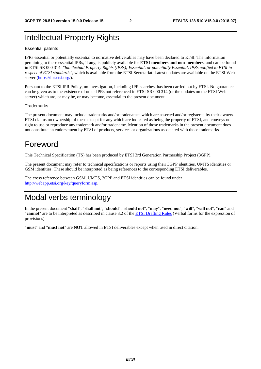### Intellectual Property Rights

#### Essential patents

IPRs essential or potentially essential to normative deliverables may have been declared to ETSI. The information pertaining to these essential IPRs, if any, is publicly available for **ETSI members and non-members**, and can be found in ETSI SR 000 314: *"Intellectual Property Rights (IPRs); Essential, or potentially Essential, IPRs notified to ETSI in respect of ETSI standards"*, which is available from the ETSI Secretariat. Latest updates are available on the ETSI Web server ([https://ipr.etsi.org/\)](https://ipr.etsi.org/).

Pursuant to the ETSI IPR Policy, no investigation, including IPR searches, has been carried out by ETSI. No guarantee can be given as to the existence of other IPRs not referenced in ETSI SR 000 314 (or the updates on the ETSI Web server) which are, or may be, or may become, essential to the present document.

#### **Trademarks**

The present document may include trademarks and/or tradenames which are asserted and/or registered by their owners. ETSI claims no ownership of these except for any which are indicated as being the property of ETSI, and conveys no right to use or reproduce any trademark and/or tradename. Mention of those trademarks in the present document does not constitute an endorsement by ETSI of products, services or organizations associated with those trademarks.

### Foreword

This Technical Specification (TS) has been produced by ETSI 3rd Generation Partnership Project (3GPP).

The present document may refer to technical specifications or reports using their 3GPP identities, UMTS identities or GSM identities. These should be interpreted as being references to the corresponding ETSI deliverables.

The cross reference between GSM, UMTS, 3GPP and ETSI identities can be found under [http://webapp.etsi.org/key/queryform.asp.](http://webapp.etsi.org/key/queryform.asp)

### Modal verbs terminology

In the present document "**shall**", "**shall not**", "**should**", "**should not**", "**may**", "**need not**", "**will**", "**will not**", "**can**" and "**cannot**" are to be interpreted as described in clause 3.2 of the [ETSI Drafting Rules](https://portal.etsi.org/Services/editHelp!/Howtostart/ETSIDraftingRules.aspx) (Verbal forms for the expression of provisions).

"**must**" and "**must not**" are **NOT** allowed in ETSI deliverables except when used in direct citation.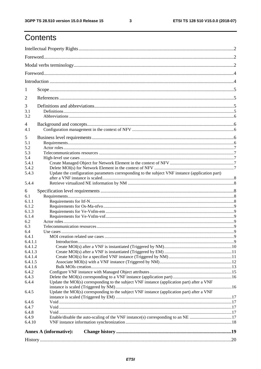$\mathbf{3}$ 

# Contents

| 1                                                                                                            |  |
|--------------------------------------------------------------------------------------------------------------|--|
| 2                                                                                                            |  |
| 3                                                                                                            |  |
| 3.1<br>3.2                                                                                                   |  |
| 4                                                                                                            |  |
| 4.1                                                                                                          |  |
| 5                                                                                                            |  |
| 5.1                                                                                                          |  |
| 5.2                                                                                                          |  |
| 5.3                                                                                                          |  |
| 5.4                                                                                                          |  |
| 5.4.1                                                                                                        |  |
| 5.4.2                                                                                                        |  |
| Update the configuration parameters corresponding to the subject VNF instance (application part)<br>5.4.3    |  |
|                                                                                                              |  |
| 5.4.4                                                                                                        |  |
| 6                                                                                                            |  |
| 6.1                                                                                                          |  |
| 6.1.1                                                                                                        |  |
| 6.1.2                                                                                                        |  |
| 6.1.3                                                                                                        |  |
| 6.1.4                                                                                                        |  |
| 6.2                                                                                                          |  |
| 6.3                                                                                                          |  |
| 6.4                                                                                                          |  |
| 6.4.1                                                                                                        |  |
| 6.4.1.1                                                                                                      |  |
| 6.4.1.2                                                                                                      |  |
| 6.4.1.3                                                                                                      |  |
| 6.4.1.4                                                                                                      |  |
| 6.4.1.5                                                                                                      |  |
| 6.4.1.6                                                                                                      |  |
| 6.4.2                                                                                                        |  |
| 6.4.3<br>6.4.4<br>Update the MOI(s) corresponding to the subject VNF instance (application part) after a VNF |  |
|                                                                                                              |  |
| Update the MOI(s) corresponding to the subject VNF instance (application part) after a VNF<br>6.4.5          |  |
|                                                                                                              |  |
| 6.4.6                                                                                                        |  |
| 6.4.7                                                                                                        |  |
| 6.4.8                                                                                                        |  |
| 6.4.9                                                                                                        |  |
| 6.4.10                                                                                                       |  |
| <b>Annex A (informative):</b>                                                                                |  |
|                                                                                                              |  |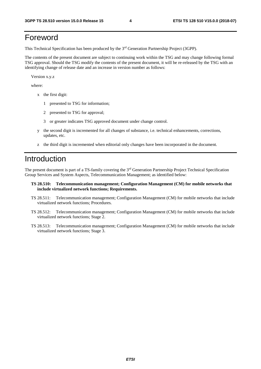### Foreword

This Technical Specification has been produced by the 3rd Generation Partnership Project (3GPP).

The contents of the present document are subject to continuing work within the TSG and may change following formal TSG approval. Should the TSG modify the contents of the present document, it will be re-released by the TSG with an identifying change of release date and an increase in version number as follows:

Version x.y.z

where:

- x the first digit:
	- 1 presented to TSG for information;
	- 2 presented to TSG for approval;
	- 3 or greater indicates TSG approved document under change control.
- y the second digit is incremented for all changes of substance, i.e. technical enhancements, corrections, updates, etc.
- z the third digit is incremented when editorial only changes have been incorporated in the document.

### Introduction

The present document is part of a TS-family covering the 3rd Generation Partnership Project Technical Specification Group Services and System Aspects, Telecommunication Management; as identified below:

- **TS 28.510: Telecommunication management; Configuration Management (CM) for mobile networks that include virtualized network functions; Requirements.**
- TS 28.511: Telecommunication management; Configuration Management (CM) for mobile networks that include virtualized network functions; Procedures.
- TS 28.512: Telecommunication management; Configuration Management (CM) for mobile networks that include virtualized network functions; Stage 2.
- TS 28.513: Telecommunication management; Configuration Management (CM) for mobile networks that include virtualized network functions; Stage 3.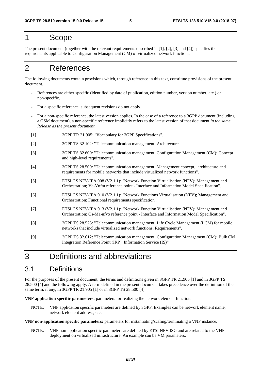### 1 Scope

The present document (together with the relevant requirements described in [1], [2], [3] and [4]) specifies the requirements applicable to Configuration Management (CM) of virtualized network functions.

### 2 References

The following documents contain provisions which, through reference in this text, constitute provisions of the present document.

- References are either specific (identified by date of publication, edition number, version number, etc.) or non-specific.
- For a specific reference, subsequent revisions do not apply.
- For a non-specific reference, the latest version applies. In the case of a reference to a 3GPP document (including a GSM document), a non-specific reference implicitly refers to the latest version of that document *in the same Release as the present document*.
- [1] 3GPP TR 21.905: "Vocabulary for 3GPP Specifications".
- [2] 3GPP TS 32.102: "Telecommunication management; Architecture".
- [3] 3GPP TS 32.600: "Telecommunication management; Configuration Management (CM); Concept and high-level requirements".
- [4] 3GPP TS 28.500: "Telecommunication management; Management concept,, architecture and requirements for mobile networks that include virtualized network functions".
- [5] ETSI GS NFV-IFA 008 (V2.1.1): "Network Function Virtualisation (NFV); Management and Orchestration; Ve-Vnfm reference point - Interface and Information Model Specification".
- [6] ETSI GS NFV-IFA 010 (V2.1.1): "Network Functions Virtualisation (NFV); Management and Orchestration; Functional requirements specification".
- [7] ETSI GS NFV-IFA 013 (V2.1.1): "Network Function Virtualisation (NFV); Management and Orchestration; Os-Ma-nfvo reference point - Interface and Information Model Specification".
- [8] 3GPP TS 28.525: "Telecommunication management; Life Cycle Management (LCM) for mobile networks that include virtualized network functions; Requirements".
- [9] 3GPP TS 32.612: "Telecommunication management; Configuration Management (CM); Bulk CM Integration Reference Point (IRP): Information Service (IS)"

### 3 Definitions and abbreviations

#### 3.1 Definitions

For the purposes of the present document, the terms and definitions given in 3GPP TR 21.905 [1] and in 3GPP TS 28.500 [4] and the following apply. A term defined in the present document takes precedence over the definition of the same term, if any, in 3GPP TR 21.905 [1] or in 3GPP TS 28.500 [4].

**VNF application specific parameters:** parameters for realizing the network element function.

NOTE: VNF application specific parameters are defined by 3GPP. Examples can be network element name, network element address, etc.

**VNF non-application specific parameters:** parameters for instantiating/scaling/terminating a VNF instance.

NOTE: VNF non-application specific parameters are defined by ETSI NFV ISG and are related to the VNF deployment on virtualized infrastructure. An example can be VM parameters.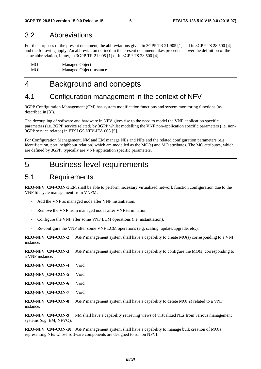#### 3.2 Abbreviations

For the purposes of the present document, the abbreviations given in 3GPP TR 21.905 [1] and in 3GPP TS 28.500 [4] and the following apply. An abbreviation defined in the present document takes precedence over the definition of the same abbreviation, if any, in 3GPP TR 21.905 [1] or in 3GPP TS 28.500 [4].

| MO. | Managed Object          |
|-----|-------------------------|
| MOI | Managed Object Instance |

# 4 Background and concepts

### 4.1 Configuration management in the context of NFV

3GPP Configuration Management (CM) has system modification functions and system monitoring functions (as described in [3]).

The decoupling of software and hardware in NFV gives rise to the need to model the VNF application specific parameters (i.e. 3GPP service related) by 3GPP whilst modelling the VNF non-application specific parameters (i.e. non-3GPP service related) in ETSI GS NFV-IFA 008 [5].

For Configuration Management, NM and EM manage NEs and NRs and the related configuration parameters (e.g. identification, port, neighbour relation) which are modelled as the  $MO(s)$  and  $MO$  attributes. The MO attributes, which are defined by 3GPP, typically are VNF application specific parameters.

### 5 Business level requirements

### 5.1 Requirements

**REQ-NFV\_CM-CON-1** EM shall be able to perform necessary virtualized network function configuration due to the VNF lifecycle management from VNFM:

- Add the VNF as managed node after VNF instantiation.
- Remove the VNF from managed nodes after VNF termination.
- Configure the VNF after some VNF LCM operations (i.e. instantiation).
- Re-configure the VNF after some VNF LCM operations (e.g. scaling, update/upgrade, etc.).

**REQ-NFV\_CM-CON-2** 3GPP management system shall have a capability to create MO(s) corresponding to a VNF instance.

**REQ-NFV\_CM-CON-3** 3GPP management system shall have a capability to configure the MO(s) corresponding to a VNF instance.

| <b>REQ-NFV_CM-CON-4</b> | Void |
|-------------------------|------|
|                         |      |

**REQ-NFV\_CM-CON-5** Void

**REQ-NFV\_CM-CON-6** Void

**REQ-NFV\_CM-CON-7** Void

**REQ-NFV\_CM-CON-8** 3GPP management system shall have a capability to delete MOI(s) related to a VNF instance.

**REQ-NFV\_CM-CON-9** NM shall have a capability retrieving views of virtualized NEs from various management systems (e.g. EM, NFVO).

**REQ-NFV** CM-CON-10 3GPP management system shall have a capability to manage bulk creation of MOIs representing NEs whose software components are designed to run on NFVI.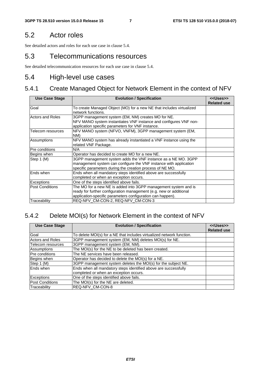### 5.2 Actor roles

See detailed actors and roles for each use case in clause 5.4.

### 5.3 Telecommunications resources

See detailed telecommunication resources for each use case in clause 5.4.

### 5.4 High-level use cases

# 5.4.1 Create Managed Object for Network Element in the context of NFV

| <b>Use Case Stage</b>  | <b>Evolution / Specification</b>                                                                                                                                                                    | < <uses>&gt;<br/><b>Related use</b></uses> |
|------------------------|-----------------------------------------------------------------------------------------------------------------------------------------------------------------------------------------------------|--------------------------------------------|
| Goal                   | To create Managed Object (MO) for a new NE that includes virtualized<br>network functions.                                                                                                          |                                            |
| Actors and Roles       | 3GPP management system (EM, NM) creates MO for NE.<br>NFV MANO system instantiates VNF instance and configures VNF non-<br>application specific parameters for VNF instance.                        |                                            |
| Telecom resources      | NFV MANO system (NFVO, VNFM), 3GPP management system (EM,<br>NM)                                                                                                                                    |                                            |
| Assumptions            | NFV MANO system has already instantiated a VNF instance using the<br>related VNF Package.                                                                                                           |                                            |
| Pre conditions         | N/A                                                                                                                                                                                                 |                                            |
| Begins when            | Operator has decided to create MO for a new NE.                                                                                                                                                     |                                            |
| Step 1 (M)             | 3GPP management system adds the VNF instance as a NE MO. 3GPP<br>management system can configure the VNF instance with application<br>specific parameters during the creation process of NE MO.     |                                            |
| Ends when              | Ends when all mandatory steps identified above are successfully<br>completed or when an exception occurs.                                                                                           |                                            |
| Exceptions             | One of the steps identified above fails.                                                                                                                                                            |                                            |
| <b>Post Conditions</b> | The MO for a new NE is added into 3GPP management system and is<br>ready for further configuration management (e.g. new or additional<br>application-specific parameters configuration can happen). |                                            |
| Traceability           | REQ-NFV CM-CON-2, REQ-NFV CM-CON-3                                                                                                                                                                  |                                            |

### 5.4.2 Delete MOI(s) for Network Element in the context of NFV

| <b>Use Case Stage</b>   | <b>Evolution / Specification</b>                                      | < <uses>&gt;<br/><b>Related use</b></uses> |
|-------------------------|-----------------------------------------------------------------------|--------------------------------------------|
| Goal                    | To delete MOI(s) for a NE that includes virtualized network function. |                                            |
| <b>Actors and Roles</b> | 3GPP management system (EM, NM) deletes MOI(s) for NE.                |                                            |
| Telecom resources       | 3GPP management system (EM, NM).                                      |                                            |
| Assumptions             | The MOI(s) for the NE to be deleted has been created.                 |                                            |
| Pre conditions          | The NE services have been released.                                   |                                            |
| Begins when             | Operator has decided to delete the MOI(s) for a NE.                   |                                            |
| Step 1 (M)              | 3GPP management system deletes the MOI(s) for the subject NE.         |                                            |
| Ends when               | Ends when all mandatory steps identified above are successfully       |                                            |
|                         | completed or when an exception occurs.                                |                                            |
| Exceptions              | One of the steps identified above fails.                              |                                            |
| <b>Post Conditions</b>  | The MOI(s) for the NE are deleted.                                    |                                            |
| Traceability            | <b>REQ-NFV CM-CON-8</b>                                               |                                            |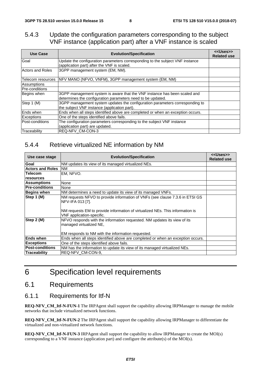#### 5.4.3 Update the configuration parameters corresponding to the subject VNF instance (application part) after a VNF instance is scaled

| <b>Use Case</b>         | <b>Evolution/Specification</b>                                                                                                           | < <uses>&gt;<br/><b>Related use</b></uses> |
|-------------------------|------------------------------------------------------------------------------------------------------------------------------------------|--------------------------------------------|
| Goal                    | Update the configuration parameters corresponding to the subject VNF instance<br>(application part) after the VNF is scaled.             |                                            |
| <b>Actors and Roles</b> | 3GPP management system (EM, NM).                                                                                                         |                                            |
| Telecom resources       | INFV MANO (NFVO, VNFM), 3GPP management system (EM, NM)                                                                                  |                                            |
| Assumptions             |                                                                                                                                          |                                            |
| <b>Pre-conditions</b>   |                                                                                                                                          |                                            |
| Begins when             | 3GPP management system is aware that the VNF instance has been scaled and<br>determines the configuration parameters need to be updated. |                                            |
| Step 1 (M)              | 3GPP management system updates the configuration parameters corresponding to<br>the subject VNF instance (application part).             |                                            |
| Ends when               | Ends when all steps identified above are completed or when an exception occurs.                                                          |                                            |
| <b>Exceptions</b>       | One of the steps identified above fails.                                                                                                 |                                            |
| Post-conditions         | The configuration parameters corresponding to the subject VNF instance<br>(application part) are updated.                                |                                            |
| Traceability            | REQ-NFV_CM-CON-3                                                                                                                         |                                            |

#### 5.4.4 Retrieve virtualized NE information by NM

| Use case stage          | <b>Evolution/Specification</b>                                                                                                                                                                                 | < <uses>&gt;<br/><b>Related use</b></uses> |
|-------------------------|----------------------------------------------------------------------------------------------------------------------------------------------------------------------------------------------------------------|--------------------------------------------|
| Goal                    | NM updates its view of its managed virtualized NEs.                                                                                                                                                            |                                            |
| <b>Actors and Roles</b> | <b>NM</b>                                                                                                                                                                                                      |                                            |
| <b>Telecom</b>          | EM. NFVO.                                                                                                                                                                                                      |                                            |
| resources               |                                                                                                                                                                                                                |                                            |
| <b>Assumptions</b>      | None                                                                                                                                                                                                           |                                            |
| <b>Pre-conditions</b>   | None                                                                                                                                                                                                           |                                            |
| <b>Begins when</b>      | NM determines a need to update its view of its managed VNFs.                                                                                                                                                   |                                            |
| Step 1 (M)              | NM requests NFVO to provide information of VNFs (see clause 7.3.6 in ETSI GS<br>NFV-IFA 013 [7].<br>NM requests EM to provide information of virtualized NEs. This information is<br>VNF application-specific. |                                            |
| Step 2 (M)              | NFVO responds with the information requested. NM updates its view of its<br>managed virtualized NE,<br>EM responds to NM with the information requested.                                                       |                                            |
| <b>Ends when</b>        | Ends when all steps identified above are completed or when an exception occurs.                                                                                                                                |                                            |
| <b>Exceptions</b>       | One of the steps identified above fails.                                                                                                                                                                       |                                            |
| <b>Post-conditions</b>  | NM has the information to update its view of its managed virtualized NEs.                                                                                                                                      |                                            |
| <b>Traceability</b>     | REQ-NFV CM-CON-9.                                                                                                                                                                                              |                                            |

# 6 Specification level requirements

### 6.1 Requirements

#### 6.1.1 Requirements for Itf-N

**REQ-NFV\_CM\_Itf-N-FUN-1** The IRPAgent shall support the capability allowing IRPManager to manage the mobile networks that include virtualized network functions.

**REQ-NFV\_CM\_Itf-N-FUN-2** The IRPAgent shall support the capability allowing IRPManager to differentiate the virtualized and non-virtualized network functions.

**REQ-NFV\_CM\_Itf-N-FUN-3** IRPAgent shall support the capability to allow IRPManager to create the MOI(s) corresponding to a VNF instance (application part) and configure the attribute(s) of the MOI(s).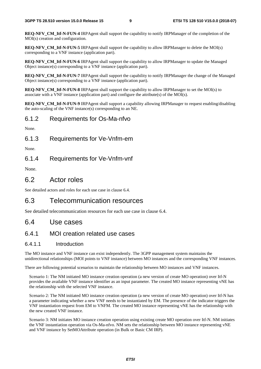**REQ-NFV\_CM\_Itf-N-FUN-4 IRPAgent shall support the capability to notify IRPManager of the completion of the** MOI(s) creation and configuration.

**REQ-NFV\_CM\_Itf-N-FUN-5** IRPAgent shall support the capability to allow IRPManager to delete the MOI(s) corresponding to a VNF instance (application part).

**REQ-NFV\_CM\_Itf-N-FUN-6** IRPAgent shall support the capability to allow IRPManager to update the Managed Object instance(s) corresponding to a VNF instance (application part).

**REQ-NFV** CM Itf-N-FUN-7 IRPAgent shall support the capability to notify IRPManager the change of the Managed Object instance(s) corresponding to a VNF instance (application part).

**REQ-NFV\_CM\_Itf-N-FUN-8** IRPAgent shall support the capability to allow IRPManager to set the MOI(s) to associate with a VNF instance (application part) and configure the attribute(s) of the MOI(s).

**REQ-NFV\_CM\_Itf-N-FUN-9** IRPAgent shall support a capability allowing IRPManager to request enabling/disabling the auto-scaling of the VNF instance(s) corresponding to an NE.

#### 6.1.2 Requirements for Os-Ma-nfvo

None.

6.1.3 Requirements for Ve-Vnfm-em

None.

#### 6.1.4 Requirements for Ve-Vnfm-vnf

None.

#### 6.2 Actor roles

See detailed actors and roles for each use case in clause 6.4.

### 6.3 Telecommunication resources

See detailed telecommunication resources for each use case in clause 6.4.

#### 6.4 Use cases

#### 6.4.1 MOI creation related use cases

#### 6.4.1.1 Introduction

The MO instance and VNF instance can exist independently. The 3GPP management system maintains the unidirectional relationships (MOI points to VNF instance) between MO instances and the corresponding VNF instances.

There are following potential scenarios to maintain the relationship between MO instances and VNF instances.

Scenario 1: The NM initiated MO instance creation operation (a new version of create MO operation) over Itf-N provides the available VNF instance identifier as an input parameter. The created MO instance representing vNE has the relationship with the selected VNF instance.

Scenario 2: The NM initiated MO instance creation operation (a new version of create MO operation) over Itf-N has a parameter indicating whether a new VNF needs to be instantiated by EM. The presence of the indicator triggers the VNF instantiation request from EM to VNFM. The created MO instance representing vNE has the relationship with the new created VNF instance.

Scenario 3: NM initiates MO instance creation operation using existing create MO operation over Itf-N. NM initiates the VNF instantiation operation via Os-Ma-nfvo. NM sets the relationship between MO instance representing vNE and VNF instance by SetMOAttribute operation (in Bulk or Basic CM IRP).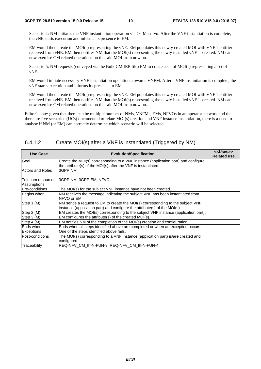Scenario 4: NM initiates the VNF instantiation operation via Os-Ma-nfvo. After the VNF instantiation is complete, the vNE starts execution and informs its presence to EM.

EM would then create the MOI(s) representing the vNE. EM populates this newly created MOI with VNF identifier received from vNE. EM then notifies NM that the MOI(s) representing the newly installed vNE is created. NM can now exercise CM related operations on the said MOI from now on.

Scenario 5: NM requests (conveyed via the Bulk CM IRP file) EM to create a set of MOI(s) representing a set of vNE.

EM would initiate necessary VNF instantiation operations towards VNFM. After a VNF instantiation is complete, the vNE starts execution and informs its presence to EM.

EM would then create the MOI(s) representing the vNE. EM populates this newly created MOI with VNF identifier received from vNE. EM then notifies NM that the MOI(s) representing the newly installed vNE is created. NM can now exercise CM related operations on the said MOI from now on.

Editor's note: given that there can be multiple number of NMs, VNFMs, EMs, NFVOs in an operator network and that there are five scenarios (UCs) documented to relate MOI(s) creation and VNF instance instantiation, there is a need to analyse if NM (or EM) can correctly determine which scenario will be selected.

| 6.4.1.2 |  |  |  | Create MOI(s) after a VNF is instantiated (Triggered by NM) |
|---------|--|--|--|-------------------------------------------------------------|
|---------|--|--|--|-------------------------------------------------------------|

| Use Case          | <b>Evolution/Specification</b>                                                                                                                              | < <uses>&gt;<br/><b>Related use</b></uses> |
|-------------------|-------------------------------------------------------------------------------------------------------------------------------------------------------------|--------------------------------------------|
| Goal              | Create the MOI(s) corresponding to a VNF instance (application part) and configure<br>the attribute(s) of the MOI(s) after the VNF is instantiated.         |                                            |
| Actors and Roles  | 3GPP NM.                                                                                                                                                    |                                            |
| Telecom resources | 3GPP NM, 3GPP EM, NFVO                                                                                                                                      |                                            |
| Assumptions       |                                                                                                                                                             |                                            |
| Pre-conditions    | The MOI(s) for the subject VNF instance have not been created.                                                                                              |                                            |
| Begins when       | NM receives the message indicating the subject VNF has been instantiated from<br>NFVO or EM.                                                                |                                            |
| Step 1 (M)        | NM sends a request to EM to create the MOI(s) corresponding to the subject VNF<br>instance (application part) and configure the attribute(s) of the MOI(s). |                                            |
| Step 2 (M)        | EM creates the MOI(s) corresponding to the subject VNF instance (application part).                                                                         |                                            |
| Step 3 (M)        | EM configures the attribute(s) of the created MOI(s).                                                                                                       |                                            |
| Step 4 (M)        | EM notifies NM of the completion of the MOI(s) creation and configuration.                                                                                  |                                            |
| lEnds when        | Ends when all steps identified above are completed or when an exception occurs.                                                                             |                                            |
| <b>Exceptions</b> | One of the steps identified above fails.                                                                                                                    |                                            |
| lPost-conditions  | The MOI(s) corresponding to a VNF instance (application part) is/are created and<br>configured.                                                             |                                            |
| Traceability      | REQ-NFV CM Itf-N-FUN-3, REQ-NFV CM Itf-N-FUN-4                                                                                                              |                                            |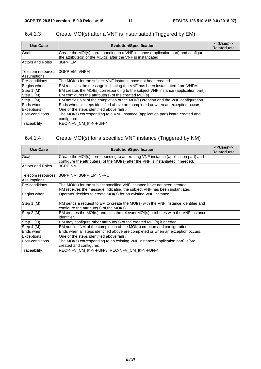| Use Case              | <b>Evolution/Specification</b>                                                      | < <uses>&gt;<br/><b>Related use</b></uses> |
|-----------------------|-------------------------------------------------------------------------------------|--------------------------------------------|
| Goal                  | Create the MOI(s) corresponding to a VNF instance (application part) and configure  |                                            |
|                       | the attribute(s) of the MOI(s) after the VNF is instantiated.                       |                                            |
| Actors and Roles      | 3GPP EM.                                                                            |                                            |
| Telecom resources     | <b>3GPP EM, VNFM</b>                                                                |                                            |
| Assumptions           |                                                                                     |                                            |
| <b>Pre-conditions</b> | The MOI(s) for the subject VNF instance have not been created.                      |                                            |
| Begins when           | EM receives the message indicating the VNF has been instantiated from VNFM;         |                                            |
| Step 1 (M)            | EM creates the MOI(s) corresponding to the subject VNF instance (application part). |                                            |
| Step 2 (M)            | EM configures the attribute(s) of the created MOI(s).                               |                                            |
| Step 3 (M)            | EM notifies NM of the completion of the MOI(s) creation and the VNF configuration.  |                                            |
| Ends when             | Ends when all steps identified above are completed or when an exception occurs.     |                                            |
| <b>Exceptions</b>     | One of the steps identified above fails.                                            |                                            |
| Post-conditions       | The MOI(s) corresponding to a VNF instance (application part) is/are created and    |                                            |
|                       | configured.                                                                         |                                            |
| Traceability          | <b>IREQ-NFV CM Itf-N-FUN-4</b>                                                      |                                            |

### 6.4.1.3 Create MOI(s) after a VNF is instantiated (Triggered by EM)

### 6.4.1.4 Create MOI(s) for a specified VNF instance (Triggered by NM)

| <b>Use Case</b>         | <b>Evolution/Specification</b>                                                                                                                                          | < <uses>&gt;<br/><b>Related use</b></uses> |
|-------------------------|-------------------------------------------------------------------------------------------------------------------------------------------------------------------------|--------------------------------------------|
| Goal                    | Create the MOI(s) corresponding to an existing VNF instance (application part) and<br>configure the attribute(s) of the MOI(s) after the VNF is instantiated if needed. |                                            |
| <b>Actors and Roles</b> | 3GPP NM.                                                                                                                                                                |                                            |
| Telecom resources       | 3GPP NM, 3GPP EM, NFVO                                                                                                                                                  |                                            |
| Assumptions             |                                                                                                                                                                         |                                            |
| <b>Pre-conditions</b>   | The MOI(s) for the subject specified VNF instance have not been created.<br>NM receives the message indicating the subject VNF has been instantiated.                   |                                            |
| Begins when             | Operator decides to create MOI(s) for an existing VNF instance.                                                                                                         |                                            |
| Step 1 (M)              | NM sends a request to EM to create the MOI(s) with the VNF instance identifier and<br>configure the attribute(s) of the MOI(s).                                         |                                            |
| Step 2 (M)              | EM creates the MOI(s) and sets the relevant MOI(s) attributes with the VNF instance<br>lidentifier.                                                                     |                                            |
| Step 3 (O)              | EM may configure other attribute(s) of the created MOI(s) if needed.                                                                                                    |                                            |
| Step 4 (M)              | EM notifies NM of the completion of the MOI(s) creation and configuration.                                                                                              |                                            |
| lEnds when              | Ends when all steps identified above are completed or when an exception occurs.                                                                                         |                                            |
| <b>Exceptions</b>       | One of the steps identified above fails.                                                                                                                                |                                            |
| <b>Post-conditions</b>  | The MOI(s) corresponding to an existing VNF instance (application part) is/are                                                                                          |                                            |
|                         | created and configured.                                                                                                                                                 |                                            |
| Traceability            | REQ-NFV CM Itf-N-FUN-3, REQ-NFV CM Itf-N-FUN-4                                                                                                                          |                                            |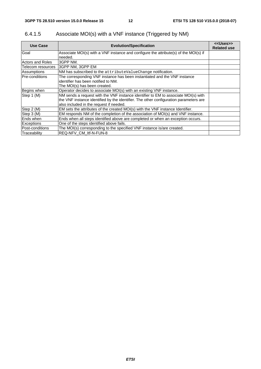| Use Case              | <b>Evolution/Specification</b>                                                        | < <uses>&gt;<br/><b>Related use</b></uses> |
|-----------------------|---------------------------------------------------------------------------------------|--------------------------------------------|
| Goal                  | Associate MOI(s) with a VNF instance and configure the attribute(s) of the MOI(s) if  |                                            |
|                       | needed.                                                                               |                                            |
| Actors and Roles      | I3GPP NM.                                                                             |                                            |
| Telecom resources     | 3GPP NM, 3GPP EM                                                                      |                                            |
| Assumptions           | NM has subscribed to the attributeValueChange notification.                           |                                            |
| <b>Pre-conditions</b> | The corresponding VNF instance has been instantiated and the VNF instance             |                                            |
|                       | identifier has been notified to NM.                                                   |                                            |
|                       | The MOI(s) has been created.                                                          |                                            |
| Begins when           | Operator decides to associate MOI(s) with an existing VNF instance.                   |                                            |
| Step 1 (M)            | NM sends a request with the VNF instance identifier to EM to associate MOI(s) with    |                                            |
|                       | the VNF instance identified by the identifier. The other configuration parameters are |                                            |
|                       | also included in the request if needed.                                               |                                            |
| Step 2 (M)            | EM sets the attributes of the created MOI(s) with the VNF instance Identifier.        |                                            |
| Step 3 (M)            | EM responds NM of the completion of the association of MOI(s) and VNF instance.       |                                            |
| Ends when             | Ends when all steps identified above are completed or when an exception occurs.       |                                            |
| <b>Exceptions</b>     | One of the steps identified above fails.                                              |                                            |
| Post-conditions       | The MOI(s) corresponding to the specified VNF instance is/are created.                |                                            |
| Traceability          | REQ-NFV CM Itf-N-FUN-8                                                                |                                            |

### 6.4.1.5 Associate MOI(s) with a VNF instance (Triggered by NM)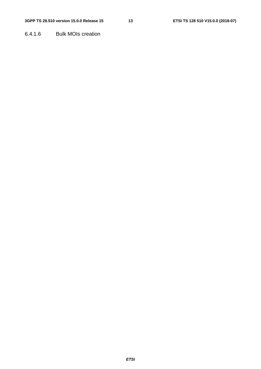6.4.1.6 Bulk MOIs creation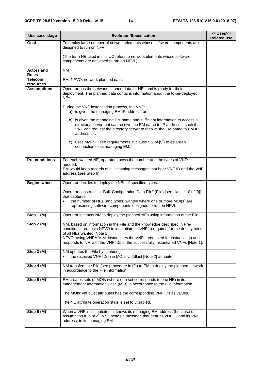| Use case stage                    | <b>Evolution/Specification</b>                                                                                                                                                                                                                                            | < <uses>&gt;<br/><b>Related use</b></uses> |  |  |  |  |  |  |
|-----------------------------------|---------------------------------------------------------------------------------------------------------------------------------------------------------------------------------------------------------------------------------------------------------------------------|--------------------------------------------|--|--|--|--|--|--|
| Goal                              | To deploy large number of network elements whose software components are<br>designed to run on NFVI.                                                                                                                                                                      |                                            |  |  |  |  |  |  |
|                                   | (The term NE used in this UC refers to network elements whose software<br>components are designed to run on NFVI.)                                                                                                                                                        |                                            |  |  |  |  |  |  |
| <b>Actors and</b><br><b>Roles</b> | <b>NM</b>                                                                                                                                                                                                                                                                 |                                            |  |  |  |  |  |  |
| <b>Telecom</b><br>resources       | EM, NFVO, network planned data.                                                                                                                                                                                                                                           |                                            |  |  |  |  |  |  |
| <b>Assumptions</b>                | Operator has the network planned data for NEs and is ready for their<br>deployment. The planned data contains information about the to-be-deployed<br>NEs.                                                                                                                |                                            |  |  |  |  |  |  |
|                                   | During the VNF instantiation process, the VNF:<br>a) is given the managing EM IP address, or;                                                                                                                                                                             |                                            |  |  |  |  |  |  |
|                                   | b) is given the managing EM name and sufficient information to access a<br>directory server that can resolve the EM name to IP address - such that<br>VNF can request the directory server to resolve the EM name to EM IP<br>address, or;                                |                                            |  |  |  |  |  |  |
|                                   | c) uses MvPnP (see requirements in clause 5.2 of [9]) to establish<br>connection to its managing EM.                                                                                                                                                                      |                                            |  |  |  |  |  |  |
| <b>Pre-conditions</b>             | For each wanted NE, operator knows the number and the types of VNFs<br>needed.                                                                                                                                                                                            |                                            |  |  |  |  |  |  |
|                                   | EM would keep records of all incoming messages that bear VNF ID and the VNF<br>address (see Step 6).                                                                                                                                                                      |                                            |  |  |  |  |  |  |
| <b>Begins when</b>                | Operator decides to deploy the NEs of specified types.                                                                                                                                                                                                                    |                                            |  |  |  |  |  |  |
|                                   | Operator constructs a "Bulk Configuration Data File" (File) [see clause 10 of [9]]<br>that captures                                                                                                                                                                       |                                            |  |  |  |  |  |  |
|                                   | the number of NEs (and types) wanted where one or more MOI(s) are<br>$\bullet$<br>representing software components designed to run on NFVI.                                                                                                                               |                                            |  |  |  |  |  |  |
| Step 1 (M)                        | Operator instructs NM to deploy the planned NEs using information of the File.                                                                                                                                                                                            |                                            |  |  |  |  |  |  |
| Step 2 (M)                        | NM, based on information in the File and the knowledge described in Pre-<br>conditions, requests NFVO to instantiate all VNF(s) required for the deployment<br>of all NEs wanted [Note 1.]<br>NFVO, using VNFM/VIM, instantiates the VNFs requested for instantiation and |                                            |  |  |  |  |  |  |
|                                   | responds to NM with the VNF IDs of the successfully instantiated VNFs [Note 1].                                                                                                                                                                                           |                                            |  |  |  |  |  |  |
| Step 3 (M)                        | NM updates the File by capturing:<br>the received VNF ID(s) in MOI's vnfldList [Note 2] attribute.                                                                                                                                                                        |                                            |  |  |  |  |  |  |
| Step 4 (M)                        | NM transfers the File (see procedure in [9]) to EM to deploy the planned network<br>in accordance to the File information.                                                                                                                                                |                                            |  |  |  |  |  |  |
| Step 5 (M)                        | EM creates sets of MOIs (where one set corresponds to one NE) in its<br>Management Information Base (MIB) in accordance to the File information.                                                                                                                          |                                            |  |  |  |  |  |  |
|                                   | The MOIs' vnfldList attributes has the corresponding VNF IDs as values.                                                                                                                                                                                                   |                                            |  |  |  |  |  |  |
|                                   | The NE attribute operation state is set to Disabled.                                                                                                                                                                                                                      |                                            |  |  |  |  |  |  |
| Step 6 (M)                        | When a VNF is instantiated, it knows its managing EM address (because of<br>assumption a, b or c). VNF sends a message that bear its VNF ID and its VNF<br>address, to its managing EM.                                                                                   |                                            |  |  |  |  |  |  |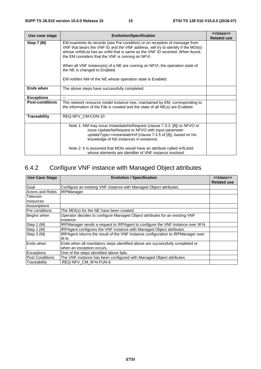| Use case stage         | <b>Evolution/Specification</b>                                                                                                                                                                                                                                                                                                                                                                                                                                                        | < <uses>&gt;<br/><b>Related use</b></uses> |  |  |  |  |  |
|------------------------|---------------------------------------------------------------------------------------------------------------------------------------------------------------------------------------------------------------------------------------------------------------------------------------------------------------------------------------------------------------------------------------------------------------------------------------------------------------------------------------|--------------------------------------------|--|--|--|--|--|
| Step 7 (M)             | EM examines its records (see Pre-condition) or on reception of message from<br>VNF that bears the VNF ID and the VNF address, will try to identify if the MOI(s)<br>whose vnfldList has an vnfld that is same as the VNF ID received. When found.<br>the EM considers that the VNF is running on NFVI.<br>When all VNF instance(s) of a NE are running on NFVI, the operation state of<br>the NE is changed to Enabled.<br>EM notifies NM of the NE whose operation state is Enabled. |                                            |  |  |  |  |  |
| Ends when              | The above steps have successfully completed.                                                                                                                                                                                                                                                                                                                                                                                                                                          |                                            |  |  |  |  |  |
| <b>Exceptions</b>      |                                                                                                                                                                                                                                                                                                                                                                                                                                                                                       |                                            |  |  |  |  |  |
| <b>Post-conditions</b> | The network resource model instance tree, maintained by EM, corresponding to<br>the information of the File is created and the state of all NE(s) are Enabled.                                                                                                                                                                                                                                                                                                                        |                                            |  |  |  |  |  |
| <b>Traceability</b>    | REQ-NFV_CM-CON-10                                                                                                                                                                                                                                                                                                                                                                                                                                                                     |                                            |  |  |  |  |  |
|                        | Note 1: NM may issue InstantiateNsRequest (clause 7.3.3. [8]) to NFVO or<br>issue UpdateNsRequest to NFVO with input parameter<br>updateType==instantiateVnf (clause 7.3.5 of [8]), based on his<br>knowledge of NS instances in existence.<br>Note 2: It is assumed that MOIs would have an attribute called vnfListId                                                                                                                                                               |                                            |  |  |  |  |  |
|                        | whose elements are identifier of VNF instance involved.                                                                                                                                                                                                                                                                                                                                                                                                                               |                                            |  |  |  |  |  |

# 6.4.2 Configure VNF instance with Managed Object attributes

| <b>Use Case Stage</b>   | <b>Evolution / Specification</b>                                                 | < <uses>&gt;</uses> |
|-------------------------|----------------------------------------------------------------------------------|---------------------|
|                         |                                                                                  | <b>Related use</b>  |
| Goal                    | Configure an existing VNF instance with Managed Object attributes.               |                     |
| <b>Actors and Roles</b> | <b>IRPManager</b>                                                                |                     |
| <b>Telecom</b>          |                                                                                  |                     |
| resources               |                                                                                  |                     |
| Assumptions             |                                                                                  |                     |
| <b>Pre conditions</b>   | The MOI(s) for the NE have been created.                                         |                     |
| Begins when             | Operator decides to configure Managed Object attributes for an existing VNF      |                     |
|                         | instance.                                                                        |                     |
| Step 1 (M)              | IRPManager sends a request to IRPAgent to configure the VNF instance over Itf-N. |                     |
| Step 2 (M)              | IRPAgent configures the VNF instance with Managed Object attributes.             |                     |
| Step 3 (M)              | IRPAgent returns the result of the VNF instance configuration to IRPManager over |                     |
|                         | ltf-N.                                                                           |                     |
| Ends when               | Ends when all mandatory steps identified above are successfully completed or     |                     |
|                         | when an exception occurs.                                                        |                     |
| <b>Exceptions</b>       | One of the steps identified above fails.                                         |                     |
| <b>Post Conditions</b>  | The VNF instance has been configured with Managed Object attributes.             |                     |
| Traceability            | REQ-NFV CM Itf-N-FUN-6                                                           |                     |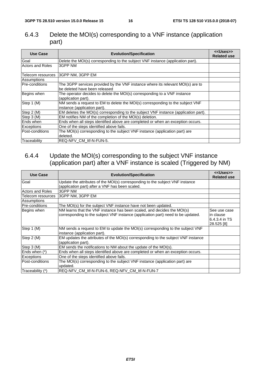### 6.4.3 Delete the MOI(s) corresponding to a VNF instance (application part)

| <b>Use Case</b>   | <b>Evolution/Specification</b>                                                                                   | < <uses>&gt;<br/><b>Related use</b></uses> |  |  |  |  |
|-------------------|------------------------------------------------------------------------------------------------------------------|--------------------------------------------|--|--|--|--|
| Goal              | Delete the MOI(s) corresponding to the subject VNF instance (application part).                                  |                                            |  |  |  |  |
| Actors and Roles  | 3GPP NM                                                                                                          |                                            |  |  |  |  |
| Telecom resources | 3GPP NM, 3GPP EM                                                                                                 |                                            |  |  |  |  |
| Assumptions       |                                                                                                                  |                                            |  |  |  |  |
| lPre-conditions   | The 3GPP services provided by the VNF instance where its relevant MOI(s) are to<br>be deleted have been released |                                            |  |  |  |  |
| Begins when       | The operator decides to delete the MOI(s) corresponding to a VNF instance<br>(application part).                 |                                            |  |  |  |  |
| Step 1 (M)        | NM sends a request to EM to delete the MOI(s) corresponding to the subject VNF<br>instance (application part).   |                                            |  |  |  |  |
| Step 2 (M)        | EM deletes the MOI(s) corresponding to the subject VNF instance (application part).                              |                                            |  |  |  |  |
| Step 3 (M)        | EM notifies NM of the completion of the MOI(s) deletion.                                                         |                                            |  |  |  |  |
| Ends when         | Ends when all steps identified above are completed or when an exception occurs.                                  |                                            |  |  |  |  |
| <b>Exceptions</b> | One of the steps identified above fails.                                                                         |                                            |  |  |  |  |
| lPost-conditions  | The MOI(s) corresponding to the subject VNF instance (application part) are<br>deleted.                          |                                            |  |  |  |  |
| Traceability      | REQ-NFV CM Itf-N-FUN-5.                                                                                          |                                            |  |  |  |  |

### 6.4.4 Update the MOI(s) corresponding to the subject VNF instance (application part) after a VNF instance is scaled (Triggered by NM)

| <b>Use Case</b>         | <b>Evolution/Specification</b>                                                                                                                              | < <uses>&gt;<br/><b>Related use</b></uses>               |  |  |  |  |
|-------------------------|-------------------------------------------------------------------------------------------------------------------------------------------------------------|----------------------------------------------------------|--|--|--|--|
| Goal                    | Update the attributes of the MOI(s) corresponding to the subject VNF instance<br>(application part) after a VNF has been scaled.                            |                                                          |  |  |  |  |
| <b>Actors and Roles</b> | 3GPP NM                                                                                                                                                     |                                                          |  |  |  |  |
| Telecom resources       | 3GPP NM, 3GPP EM                                                                                                                                            |                                                          |  |  |  |  |
| Assumptions             |                                                                                                                                                             |                                                          |  |  |  |  |
| <b>Pre-conditions</b>   | The MOI(s) for the subject VNF instance have not been updated.                                                                                              |                                                          |  |  |  |  |
| Begins when             | NM learns that the VNF instance has been scaled, and decides the MOI(s)<br>corresponding to the subject VNF instance (application part) need to be updated. | See use case<br>in clause<br>6.4.3.4 in TS<br>28.525 [8] |  |  |  |  |
| Step 1 (M)              | NM sends a request to EM to update the MOI(s) corresponding to the subject VNF<br>instance (application part).                                              |                                                          |  |  |  |  |
| Step 2 (M)              | EM updates the attributes of the MOI(s) corresponding to the subject VNF instance<br>(application part).                                                    |                                                          |  |  |  |  |
| Step 3 (M)              | EM sends the notifications to NM about the update of the MOI(s).                                                                                            |                                                          |  |  |  |  |
| Ends when (*)           | Ends when all steps identified above are completed or when an exception occurs.                                                                             |                                                          |  |  |  |  |
| Exceptions              | One of the steps identified above fails.                                                                                                                    |                                                          |  |  |  |  |
| lPost-conditions        | The MOI(s) corresponding to the subject VNF instance (application part) are<br>updated.                                                                     |                                                          |  |  |  |  |
| Traceability (*)        | REQ-NFV CM Itf-N-FUN-6, REQ-NFV CM Itf-N-FUN-7                                                                                                              |                                                          |  |  |  |  |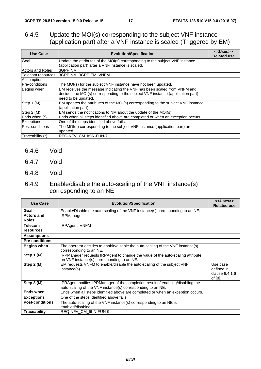### 6.4.5 Update the MOI(s) corresponding to the subject VNF instance (application part) after a VNF instance is scaled (Triggered by EM)

| <b>Use Case</b>       | <b>Evolution/Specification</b>                                                                                                                                                     | < <uses>&gt;<br/><b>Related use</b></uses> |  |  |  |  |
|-----------------------|------------------------------------------------------------------------------------------------------------------------------------------------------------------------------------|--------------------------------------------|--|--|--|--|
| Goal                  | Update the attributes of the MOI(s) corresponding to the subject VNF instance                                                                                                      |                                            |  |  |  |  |
|                       | (application part) after a VNF instance is scaled.                                                                                                                                 |                                            |  |  |  |  |
| Actors and Roles      | l3GPP NM                                                                                                                                                                           |                                            |  |  |  |  |
| Telecom resources     | 3GPP NM, 3GPP EM, VNFM                                                                                                                                                             |                                            |  |  |  |  |
| Assumptions           |                                                                                                                                                                                    |                                            |  |  |  |  |
| <b>Pre-conditions</b> | The MOI(s) for the subject VNF instance have not been updated.                                                                                                                     |                                            |  |  |  |  |
| Begins when           | EM receives the message indicating the VNF has been scaled from VNFM and<br>decides the MOI(s) corresponding to the subject VNF instance (application part)<br>need to be updated. |                                            |  |  |  |  |
| Step 1 (M)            | EM updates the attributes of the MOI(s) corresponding to the subject VNF instance<br>(application part).                                                                           |                                            |  |  |  |  |
| Step 2 (M)            | EM sends the notifications to NM about the update of the MOI(s).                                                                                                                   |                                            |  |  |  |  |
| Ends when (*)         | Ends when all steps identified above are completed or when an exception occurs.                                                                                                    |                                            |  |  |  |  |
| <b>Exceptions</b>     | One of the steps identified above fails.                                                                                                                                           |                                            |  |  |  |  |
| Post-conditions       | The MOI(s) corresponding to the subject VNF instance (application part) are<br>updated.                                                                                            |                                            |  |  |  |  |
| Traceability (*)      | <b>IREQ-NFV CM Itf-N-FUN-7</b>                                                                                                                                                     |                                            |  |  |  |  |

- 6.4.6 Void
- 6.4.7 Void
- 6.4.8 Void

### 6.4.9 Enable/disable the auto-scaling of the VNF instance(s) corresponding to an NE

| <b>Use Case</b>        | <b>Evolution/Specification</b>                                                                                                                 | < <uses>&gt;<br/><b>Related use</b></uses>          |
|------------------------|------------------------------------------------------------------------------------------------------------------------------------------------|-----------------------------------------------------|
| Goal                   | Enable/Disable the auto-scaling of the VNF instance(s) corresponding to an NE.                                                                 |                                                     |
| <b>Actors and</b>      | <b>IRPManager</b>                                                                                                                              |                                                     |
| <b>Roles</b>           |                                                                                                                                                |                                                     |
| <b>Telecom</b>         | <b>IRPAgent, VNFM</b>                                                                                                                          |                                                     |
| resources              |                                                                                                                                                |                                                     |
| <b>Assumptions</b>     |                                                                                                                                                |                                                     |
| <b>Pre-conditions</b>  |                                                                                                                                                |                                                     |
| <b>Begins when</b>     | The operator decides to enable/disable the auto-scaling of the VNF instance(s)<br>corresponding to an NE.                                      |                                                     |
| Step 1 (M)             | IRPManager requests IRPAgent to change the value of the auto-scaling attribute<br>on VNF instance(s) corresponding to an NE.                   |                                                     |
| Step 2 (M)             | EM requests VNFM to enable/disable the auto-scaling of the subject VNF<br>instance(s).                                                         | Use case<br>defined in<br>clause 6.4.1.6<br>of [8]. |
| Step 3 (M)             | IPRAgent notifies IPRManager of the completion result of enabling/disabling the<br>auto-scaling of the VNF instance(s) corresponding to an NE. |                                                     |
| <b>Ends when</b>       | Ends when all steps identified above are completed or when an exception occurs.                                                                |                                                     |
| <b>Exceptions</b>      | One of the steps identified above fails.                                                                                                       |                                                     |
| <b>Post-conditions</b> | The auto-scaling of the VNF instance(s) corresponding to an NE is<br>enabled/disabled.                                                         |                                                     |
| <b>Traceability</b>    | REQ-NFV_CM_ltf-N-FUN-9                                                                                                                         |                                                     |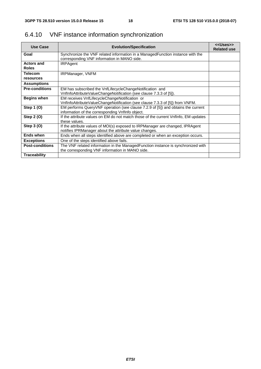| <b>Use Case</b>                   | <b>Evolution/Specification</b>                                                                                                          | < <uses>&gt;<br/><b>Related use</b></uses> |
|-----------------------------------|-----------------------------------------------------------------------------------------------------------------------------------------|--------------------------------------------|
| Goal                              | Synchronize the VNF related information in a ManagedFunction instance with the<br>corresponding VNF information in MANO side.           |                                            |
| <b>Actors and</b><br><b>Roles</b> | <b>IRPAgent</b>                                                                                                                         |                                            |
| <b>Telecom</b>                    | <b>IRPManager, VNFM</b>                                                                                                                 |                                            |
| resources<br><b>Assumptions</b>   |                                                                                                                                         |                                            |
| <b>Pre-conditions</b>             | EM has subscribed the VnfLifecycleChangeNotification and                                                                                |                                            |
|                                   | VnfInfoAttributeValueChangeNotification (see clause 7.3.3 of [5]).                                                                      |                                            |
| <b>Begins when</b>                | EM receives VnfLifecycleChangeNotification or<br>VnfInfoAttributeValueChangeNotification (see clause 7.3.3 of [5]) from VNFM.           |                                            |
| Step 1 (0)                        | EM performs QueryVNF operation (see clause 7.2.9 of [5]) and obtains the current<br>information of the corresponding VnfInfo object.    |                                            |
| Step 2 (O)                        | If the attribute values on EM do not match those of the current Vnflnfo, EM updates<br>these values.                                    |                                            |
| Step 3 (O)                        | If the attribute values of MOI(s) exposed to IRPManager are changed, IPRAgent<br>notifies IPRManager about the attribute value changes. |                                            |
| Ends when                         | Ends when all steps identified above are completed or when an exception occurs.                                                         |                                            |
| <b>Exceptions</b>                 | One of the steps identified above fails.                                                                                                |                                            |
| <b>Post-conditions</b>            | The VNF related information in the ManagedFunction instance is synchronized with<br>the corresponding VNF information in MANO side.     |                                            |
| <b>Traceability</b>               |                                                                                                                                         |                                            |

### 6.4.10 VNF instance information synchronization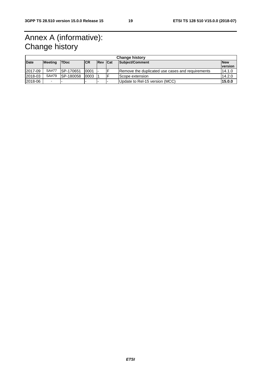# Annex A (informative): Change history

|             | <b>Change history</b> |                   |            |            |     |                                                  |                              |
|-------------|-----------------------|-------------------|------------|------------|-----|--------------------------------------------------|------------------------------|
| <b>Date</b> | <b>Meeting</b>        | <b>TDoc</b>       | <b>ICR</b> | <b>Rev</b> | Cat | Subject/Comment                                  | <b>New</b><br><b>version</b> |
| 2017-09     | <b>SA#77</b>          | ISP-170651        | 0001       |            |     | Remove the duplicated use cases and requirements | 14.1.0                       |
| 2018-03     | SA#79                 | <b>ISP-180058</b> | 0003       |            |     | Scope extension                                  | 14.2.0                       |
| 2018-06     |                       |                   |            |            |     | Update to Rel-15 version (MCC)                   | 15.0.0                       |